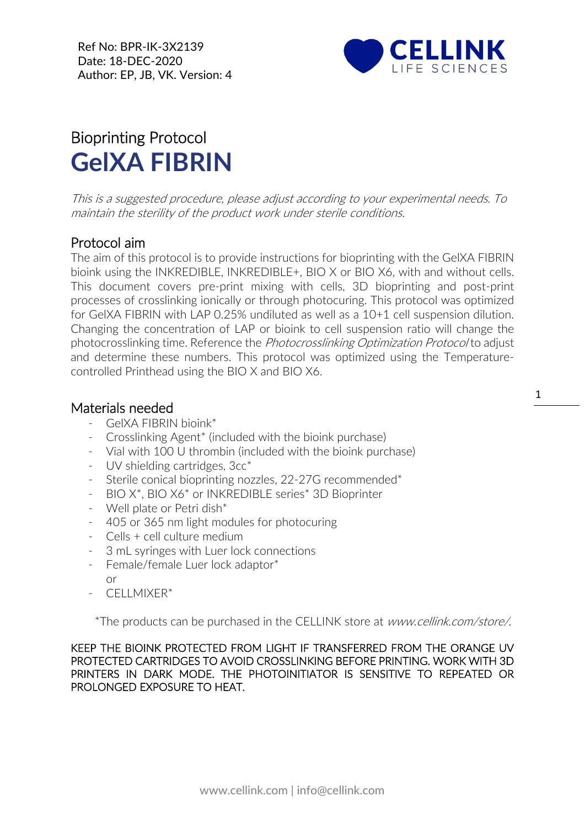Ref No: BPR-IK-3X2139 Date: 18-DEC-2020 Author: EP, JB, VK. Version: 4



## Bioprinting Protocol **GelXA FIBRIN**

This is a suggested procedure, please adjust according to your experimental needs. To maintain the sterility of the product work under sterile conditions.

## Protocol aim

The aim of this protocol is to provide instructions for bioprinting with the GelXA FIBRIN bioink using the INKREDIBLE, INKREDIBLE+, BIO X or BIO X6, with and without cells. This document covers pre-print mixing with cells, 3D bioprinting and post-print processes of crosslinking ionically or through photocuring. This protocol was optimized for GelXA FIBRIN with LAP 0.25% undiluted as well as a 10+1 cell suspension dilution. Changing the concentration of LAP or bioink to cell suspension ratio will change the photocrosslinking time. Reference the *Photocrosslinking Optimization Protocol* to adjust and determine these numbers. This protocol was optimized using the Temperaturecontrolled Printhead using the BIO X and BIO X6.

## Materials needed

- GelXA FIBRIN bioink\*
- Crosslinking Agent\* (included with the bioink purchase)
- Vial with 100 U thrombin (included with the bioink purchase)
- [UV](https://cellink.com/product/uv-shielding-cartridges-3cc/) shielding cartridges, 3cc\*
- Sterile conical bioprinting nozzles, 22-27G recommended\*
- BIO X\*, BIO X6\* or INKREDIBLE series\* 3D Bioprinter
- Well plate or Petri dish\*
- 405 or 365 nm light modules for photocuring
- Cells + cell culture medium
- 3 mL syringes with Luer lock connections
- Female/female Luer lock adaptor\*
	- or
- CFLLMIXFR\*

\*The products can be purchased in the CELLINK store at www.cellink.com/store/.

KEEP THE BIOINK PROTECTED FROM LIGHT IF TRANSFERRED FROM THE ORANGE UV PROTECTED CARTRIDGES TO AVOID CROSSLINKING BEFORE PRINTING. WORK WITH 3D PRINTERS IN DARK MODE. THE PHOTOINITIATOR IS SENSITIVE TO REPEATED OR PROLONGED EXPOSURE TO HEAT.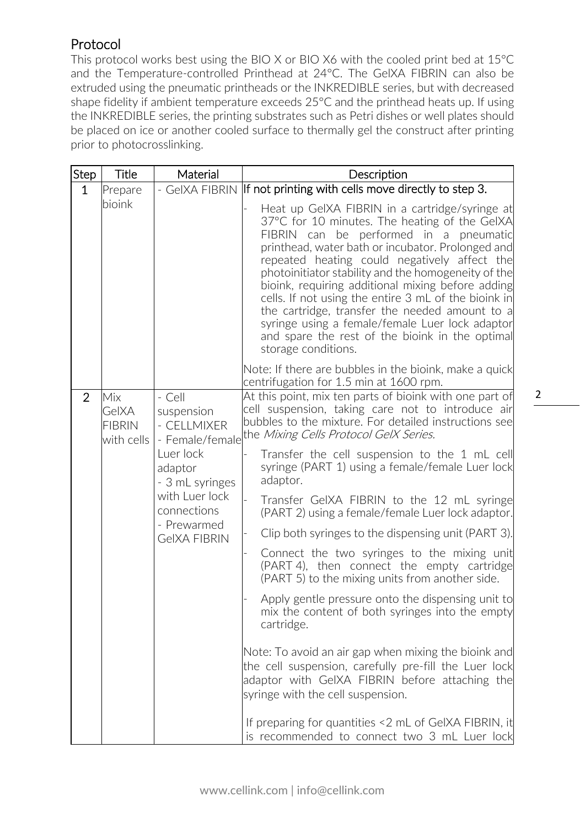## Protocol

This protocol works best using the BIO X or BIO X6 with the cooled print bed at 15°C and the Temperature-controlled Printhead at 24°C. The GelXA FIBRIN can also be extruded using the pneumatic printheads or the INKREDIBLE series, but with decreased shape fidelity if ambient temperature exceeds 25°C and the printhead heats up. If using the INKREDIBLE series, the printing substrates such as Petri dishes or well plates should be placed on ice or another cooled surface to thermally gel the construct after printing prior to photocrosslinking.

| Step           | Title                                                                                                  | Material                                                                                                                                                                                                        | Description                                                                                                                                                                                                                                                                                                                                                                                                                                                                                                                                                                                             |
|----------------|--------------------------------------------------------------------------------------------------------|-----------------------------------------------------------------------------------------------------------------------------------------------------------------------------------------------------------------|---------------------------------------------------------------------------------------------------------------------------------------------------------------------------------------------------------------------------------------------------------------------------------------------------------------------------------------------------------------------------------------------------------------------------------------------------------------------------------------------------------------------------------------------------------------------------------------------------------|
| $\mathbf 1$    | Prepare                                                                                                |                                                                                                                                                                                                                 | - GeIXA FIBRIN If not printing with cells move directly to step 3.                                                                                                                                                                                                                                                                                                                                                                                                                                                                                                                                      |
|                | bioink                                                                                                 |                                                                                                                                                                                                                 | Heat up GeIXA FIBRIN in a cartridge/syringe at<br>37°C for 10 minutes. The heating of the GelXA<br>FIBRIN can<br>performed in a pneumatic<br>be<br>printhead, water bath or incubator. Prolonged and<br>repeated heating could negatively affect the<br>photoinitiator stability and the homogeneity of the<br>bioink, requiring additional mixing before adding<br>cells. If not using the entire 3 mL of the bioink in<br>the cartridge, transfer the needed amount to a<br>syringe using a female/female Luer lock adaptor<br>and spare the rest of the bioink in the optimal<br>storage conditions. |
|                |                                                                                                        |                                                                                                                                                                                                                 | Note: If there are bubbles in the bioink, make a quick<br>centrifugation for 1.5 min at 1600 rpm.                                                                                                                                                                                                                                                                                                                                                                                                                                                                                                       |
| $\overline{2}$ | $-Cell$<br>Mix<br>GelXA<br>suspension<br><b>FIBRIN</b><br>- CELLMIXER<br>with cells<br>- Female/female | At this point, mix ten parts of bioink with one part of<br>cell suspension, taking care not to introduce air<br>bubbles to the mixture. For detailed instructions see<br>the Mixing Cells Protocol GelX Series. |                                                                                                                                                                                                                                                                                                                                                                                                                                                                                                                                                                                                         |
|                |                                                                                                        | Luer lock<br>adaptor<br>- 3 mL syringes                                                                                                                                                                         | Transfer the cell suspension to the 1 mL cell<br>syringe (PART 1) using a female/female Luer lock<br>adaptor.                                                                                                                                                                                                                                                                                                                                                                                                                                                                                           |
|                |                                                                                                        | with Luer lock<br>connections                                                                                                                                                                                   | Transfer GeIXA FIBRIN to the 12 mL syringe<br>(PART 2) using a female/female Luer lock adaptor.                                                                                                                                                                                                                                                                                                                                                                                                                                                                                                         |
|                |                                                                                                        | - Prewarmed<br><b>GeIXA FIBRIN</b>                                                                                                                                                                              | Clip both syringes to the dispensing unit (PART 3).                                                                                                                                                                                                                                                                                                                                                                                                                                                                                                                                                     |
|                |                                                                                                        |                                                                                                                                                                                                                 | Connect the two syringes to the mixing unit<br>(PART 4), then connect the empty cartridge<br>(PART 5) to the mixing units from another side.                                                                                                                                                                                                                                                                                                                                                                                                                                                            |
|                |                                                                                                        |                                                                                                                                                                                                                 | Apply gentle pressure onto the dispensing unit to<br>mix the content of both syringes into the empty<br>cartridge.                                                                                                                                                                                                                                                                                                                                                                                                                                                                                      |
|                |                                                                                                        |                                                                                                                                                                                                                 | Note: To avoid an air gap when mixing the bioink and<br>the cell suspension, carefully pre-fill the Luer lock<br>adaptor with GeIXA FIBRIN before attaching the<br>syringe with the cell suspension.                                                                                                                                                                                                                                                                                                                                                                                                    |
|                |                                                                                                        |                                                                                                                                                                                                                 | If preparing for quantities <2 mL of GeIXA FIBRIN, it<br>is recommended to connect two 3 mL Luer lock                                                                                                                                                                                                                                                                                                                                                                                                                                                                                                   |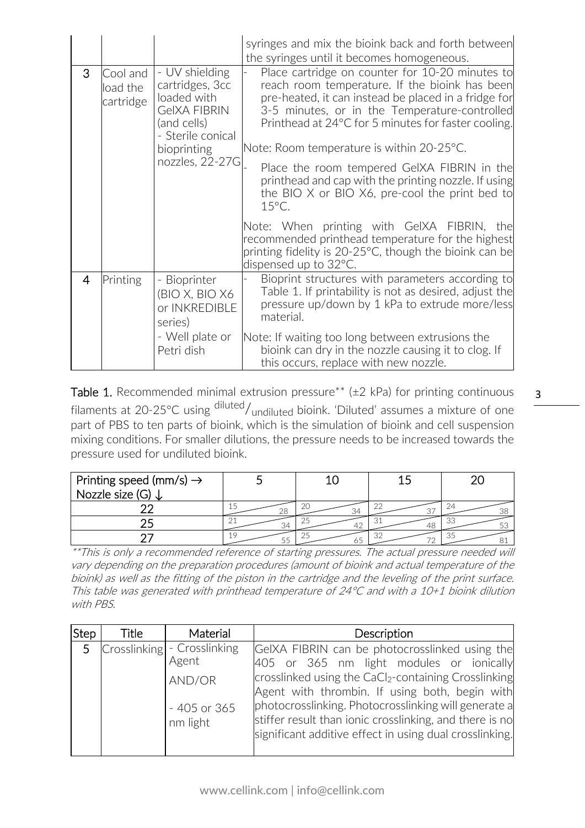|                |                                   |                                                                                                                                               | syringes and mix the bioink back and forth between<br>the syringes until it becomes homogeneous.                                                                                                                                                                                                                                                                                                                                                                                                                                                                                                                                                           |
|----------------|-----------------------------------|-----------------------------------------------------------------------------------------------------------------------------------------------|------------------------------------------------------------------------------------------------------------------------------------------------------------------------------------------------------------------------------------------------------------------------------------------------------------------------------------------------------------------------------------------------------------------------------------------------------------------------------------------------------------------------------------------------------------------------------------------------------------------------------------------------------------|
| 3              | Cool and<br>load the<br>cartridge | - UV shielding<br>cartridges, 3cc<br>loaded with<br><b>GeIXA FIBRIN</b><br>(and cells)<br>- Sterile conical<br>bioprinting<br>nozzles, 22-27G | Place cartridge on counter for 10-20 minutes to<br>reach room temperature. If the bioink has been<br>pre-heated, it can instead be placed in a fridge for<br>3-5 minutes, or in the Temperature-controlled<br>Printhead at 24°C for 5 minutes for faster cooling.<br>Note: Room temperature is within 20-25°C.<br>Place the room tempered GeIXA FIBRIN in the<br>printhead and cap with the printing nozzle. If using<br>the BIO X or BIO X6, pre-cool the print bed to<br>$15^{\circ}$ C.<br>Note: When printing with GeIXA FIBRIN, the<br>recommended printhead temperature for the highest<br>printing fidelity is $20-25$ °C, though the bioink can be |
|                |                                   |                                                                                                                                               | dispensed up to 32°C.                                                                                                                                                                                                                                                                                                                                                                                                                                                                                                                                                                                                                                      |
| $\overline{4}$ | Printing                          | - Bioprinter<br>(BIO X, BIO X6<br>or INKREDIBLE<br>series)<br>- Well plate or<br>Petri dish                                                   | Bioprint structures with parameters according to<br>Table 1. If printability is not as desired, adjust the<br>pressure up/down by 1 kPa to extrude more/less<br>material.<br>Note: If waiting too long between extrusions the<br>bioink can dry in the nozzle causing it to clog. If<br>this occurs, replace with new nozzle.                                                                                                                                                                                                                                                                                                                              |

Table 1. Recommended minimal extrusion pressure\*\* ( $\pm$ 2 kPa) for printing continuous filaments at 20-25°C using diluted/<sub>undiluted</sub> bioink. 'Diluted' assumes a mixture of one part of PBS to ten parts of bioink, which is the simulation of bioink and cell suspension mixing conditions. For smaller dilutions, the pressure needs to be increased towards the pressure used for undiluted bioink.

| Printing speed (mm/s) $\rightarrow$<br>Nozzle size (G) ↓ |     |    |    |          |
|----------------------------------------------------------|-----|----|----|----------|
|                                                          | 28  | 34 |    | 74<br>38 |
|                                                          | 34  |    |    | -33      |
|                                                          | L L |    | つつ | -35      |

\*\*This is only a recommended reference of starting pressures. The actual pressure needed will vary depending on the preparation procedures (amount of bioink and actual temperature of the bioink) as well as the fitting of the piston in the cartridge and the leveling of the print surface. This table was generated with printhead temperature of 24°C and with a 10+1 bioink dilution with PBS.

| <b>Step</b>    | Title | Material                                                                    | Description                                                                                                                                                                                                                                                                                                                                                                                    |
|----------------|-------|-----------------------------------------------------------------------------|------------------------------------------------------------------------------------------------------------------------------------------------------------------------------------------------------------------------------------------------------------------------------------------------------------------------------------------------------------------------------------------------|
| 5 <sup>1</sup> |       | Crosslinking - Crosslinking<br>Agent<br>AND/OR<br>$-405$ or 365<br>nm light | GeIXA FIBRIN can be photocrosslinked using the<br>405 or 365 nm light modules or ionically<br>crosslinked using the CaCl <sub>2</sub> -containing Crosslinking<br>Agent with thrombin. If using both, begin with<br>photocrosslinking. Photocrosslinking will generate a<br>stiffer result than ionic crosslinking, and there is no<br>significant additive effect in using dual crosslinking. |

3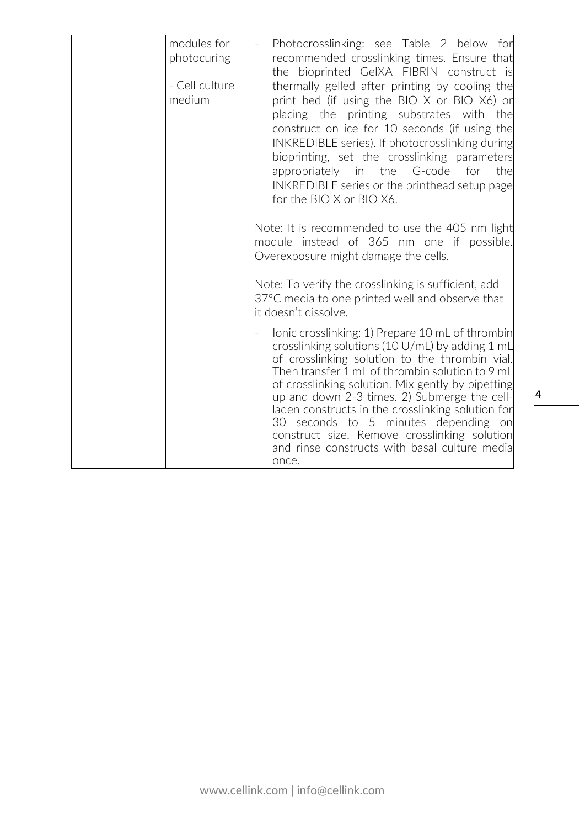| modules for<br>photocuring<br>- Cell culture<br>medium | Photocrosslinking: see Table 2 below for<br>recommended crosslinking times. Ensure that<br>the bioprinted GeIXA FIBRIN construct is<br>thermally gelled after printing by cooling the<br>print bed (if using the BIO X or BIO X6) or<br>placing the printing substrates with the<br>construct on ice for 10 seconds (if using the<br>INKREDIBLE series). If photocrosslinking during<br>bioprinting, set the crosslinking parameters<br>appropriately in the G-code<br>for<br>the<br>INKREDIBLE series or the printhead setup page<br>for the BIO X or BIO X6.<br>Note: It is recommended to use the 405 nm light<br>module instead of 365 nm one if possible. |
|--------------------------------------------------------|----------------------------------------------------------------------------------------------------------------------------------------------------------------------------------------------------------------------------------------------------------------------------------------------------------------------------------------------------------------------------------------------------------------------------------------------------------------------------------------------------------------------------------------------------------------------------------------------------------------------------------------------------------------|
|                                                        | Overexposure might damage the cells.<br>Note: To verify the crosslinking is sufficient, add<br>37°C media to one printed well and observe that<br>it doesn't dissolve.                                                                                                                                                                                                                                                                                                                                                                                                                                                                                         |
|                                                        | lonic crosslinking: 1) Prepare 10 mL of thrombin<br>crosslinking solutions (10 U/mL) by adding 1 mL<br>of crosslinking solution to the thrombin vial.<br>Then transfer 1 mL of thrombin solution to 9 mL<br>of crosslinking solution. Mix gently by pipetting<br>up and down 2-3 times. 2) Submerge the cell-<br>laden constructs in the crosslinking solution for<br>30 seconds to 5 minutes depending on<br>construct size. Remove crosslinking solution<br>and rinse constructs with basal culture media<br>once.                                                                                                                                           |